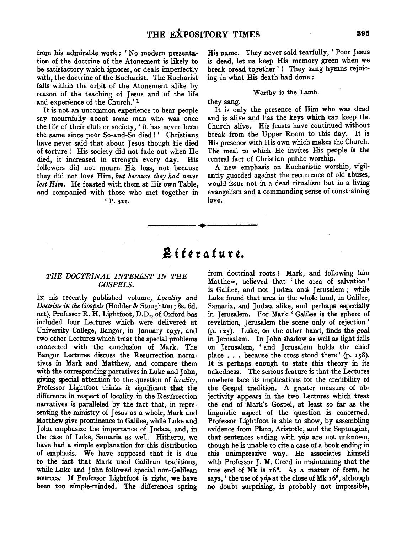from his admirable work: 'No modem presentation of the doctrine of the Atonement is likely to be satisfactory which ignores, or deals imperfectly with, the doctrine of the Eucharist. The Eucharist falls within the orbit of the Atonement alike by reason of the teaching of Jesus and of the life and experience of the Church.' <sup>1</sup>

It is not an uncommon experience to hear people say mournfully about some man who was once the life of their club or society, ' it has never been the same since poor So-and-So died !' Christians have never said that about Jesus though He died of torture ! His society did not fade out when He died, it increased in strength every day. His followers did not mourn His loss, not because they did not love Him, *but because they had never lost Him.* He feasted with them at His own Table, and companied with those who met together in  $P. 322$ .

His name. They never said tearfully, ' Poor Jesus is dead, let us keep His memory green when we break bread together'! They sang hymns rejoicing in what His death had done :

#### Worthy is the Lamb.

they sang.

It is only the presence of Him who was dead and is alive and has the keys which can keep the Church alive. His feasts have continued without break from the Upper Room to this day. It is His presence with His own which makes the Church. The meal to which He invites His people is the central fact of Christian public worship.

A new emphasis on Eucharistic worship, vigilantly guarded against the recurrence of old abuses, would issue not in a dead ritualism but in a living evangelism and a commanding sense of constraining love.

# **A t** *t* **t r 4** *t* **u r** *t.*

------··------

### *THE DOCTRINAL INTEREST IN THE GOSPELS.*

IN his recently published volume, *Locality and Doctrine in the Gospels* (Hodder & Stoughton ; 8s. 6d. net), Professor R. H. Lightfoot, D.D., of Oxford has included four Lectures which were delivered at University College, Bangor, in January 1937, and two other Lectures which treat the special problems connected with the conclusion of Mark. The Bangor Lectures discuss the Resurrection narratives in Mark and Matthew, and compare them with the corresponding narratives in Luke and John, giving special attention to the question of *locality*. Professor Lightfoot thinks it significant that the difference in respect of locality in the Resurrection narratives is paralleled by the fact that, in representing the ministry of Jesus as a whole, Mark and Matthew give prominence to Galilee, while Luke and John emphasize the importance of Judrea, and, in the case of Luke, Samaria as well. Hitherto, we have had a simple explanation for this distribution of emphasis. We have supposed that it is due to the fact that Mark used Galilean traditions, while Luke and John followed special non-Galilean sources. If Professor Lightfoot is right, we have been too simple-minded. The differences spring

from doctrinal roots ! Mark, and following him Matthew, believed that 'the area of salvation' is Galilee, and not Judæa and Jerusalem; while Luke found that area in the whole land, in Galilee, Samaria, and Judæa alike, and perhaps especially in Jerusalem. For Mark ' Galilee is the sphere of revelation, Jerusalem the scene only of rejection ' (p. 125). Luke, on the other hand, finds the goal in Jerusalem. In John shadow as well as light falls on Jerusalem, 'and Jerusalem holds the chief place  $\ldots$  because the cross stood there' (p. 158). It is perhaps enough to state this theory in its nakedness. The serious feature is that the Lectures nowhere face its implications for the credibility of the Gospel tradition. A greater measure of objectivity appears in the two Lectures which treat the end of Mark's Gospel, at least so far as the linguistic aspect of the question is concerned. Professor Lightfoot is able to show, by assembling evidence from Plato, Aristotle, and the Septuagint, that sentences ending with  $\gamma \phi$  are not unknown, though he is unable to cite a case of a book ending in this unimpressive way. He associates himself with Professor J. M. Creed in maintaining that the true end of Mk is  $16<sup>8</sup>$ . As a matter of form, he says, ' the use of  $\gamma \dot{\phi}$  at the close of Mk  $16^8$ , although no doubt surprising, is probably not impossible,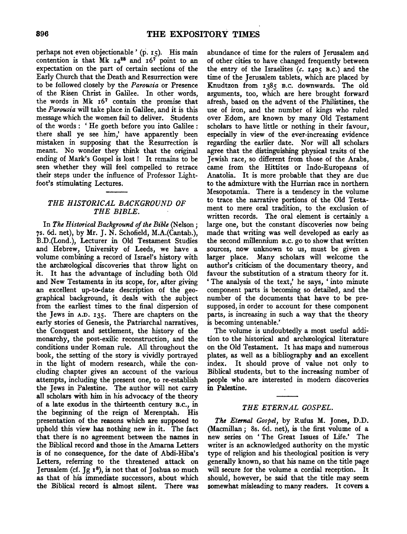perhaps not even objectionable' (p. 15). His main contention is that Mk  $14^{28}$  and  $16^{7}$  point to an expectation on the part of certain sections of the Early Church that the Death and Resurrection were to be followed closely by the *Parousia* or Presence of the Risen Christ in Galilee. In other words, the words in Mk 167 contain the promise that the *Parousia* will take place in Galilee, and it is this message which the women fail to deliver. Students of the words : ' He goeth before you into Galilee : there shall ye see him,' have apparently been mistaken in supposing that the Resurrection is meant. No wonder they think that the original ending of Mark's Gospel is lost! It remains to be seen whether they will feel compelled to retrace their steps under the influence of Professor Lightfoot's stimulating Lectures.

## *THE HISTORICAL BACKGROUND OF THE BIBLE.*

In *The Historical Background of the Bible* (Nelson; 7s. 6d. net), by Mr. J. N. Schofield, M.A.(Cantab.), B.D.(Lond.), Lecturer in Old Testament Studies and Hebrew, University of Leeds, we have a volume combining a record of Israel's history with the archaeological discoveries that throw light on it. It has the advantage of including both Old and New Testaments in its scope, for, after giving an excellent up-to-date description of the geographical background, it deals with the subject from the earliest times to the final dispersion of the Jews in A.D. 135. There are chapters on the early stories of Genesis, the Patriarchal narratives, the Conquest and settlement, the history of the monarchy, the post-exilic reconstruction, and the conditions under Roman rule. All throughout the book, the setting of the story is vividly portrayed in the light of modern research, while the concluding chapter gives an account of the various attempts, including the present one, to re-establish the Jews in Palestine. The author will not carry all scholars with him in his advocacy of the theory of a late exodus in the thirteenth century B.c., in the beginning of the reign of Merenptah. His presentation of the reasons which are supposed to uphold this view has nothing new in it. The fact that there is no agreement between the names in the Biblical record and those in the Amarna Letters is of no consequence, for the date of Abdi-Hiba's Letters, referring to the threatened attack on Jerusalem (cf. Jg  $1^8$ ), is not that of Joshua so much as that of his immediate successors, about which the Biblical record is almost silent. There was

abundance of time for the rulers of Jerusalem and of other cities to have changed frequently between the entry of the Israelites *(c.* 1405 B.c.) and the time of the Jerusalem tablets, which are placed by Knudtzon from 1385 B.c. downwards. The old arguments, too, which are here brought forward afresh, based on the advent of the Philistines, the use of iron, and the number of kings who ruled over Edom, are known by many Old Testament scholars to have little or nothing in their favour, especially in view of the ever-increasing evidence regarding the earlier date. Nor will all scholars agree that the distinguishing physical traits of the Jewish race, so different from those of the Arabs, came from the Hittites or Indo-Europeans of Anatolia. It is more probable that they are due to the admixture with the Hurrian race in northern Mesopotamia. There is a tendency in the volume to trace the narrative portions of the Old Testament to mere oral tradition, to the exclusion of written records. The oral element is certainly a large one, but the constant discoveries now being made that writing was well developed as early as the second millennium B.c. go to show that written sources, now unknown to us, must be given a larger place. Many scholars will welcome the author's criticism of the documentary theory, and favour the substitution of a stratum theory for it. ' The analysis of the text,' he says, ' into minute component parts is becoming so detailed, and the number of the documents that have to be presupposed, in order to account for these component parts, is increasing in such a way that the theory is becoming untenable.'

The volume is undoubtedly a most useful addition to the historical and archæological literature on the Old Testament. It has maps and numerous plates, as well as a bibliography and an excellent index. It should prove of value not only to Biblical students, but to the increasing number of people who are interested in modern discoveries in Palestine.

#### *THE ETERNAL GOSPEL.*

*The Eternal Gospel,* by Rufus M. Jones, D.D. (Macmillan; 8s. 6d. net), is the first volume of a new series on ' The Great Issues of Life.' The writer is an acknowledged authority on the mystic type of religion and his theological position is very generally known, so that his name on the title page will secure for the volume a cordial reception. It should, however, be said that the title may seem somewhat misleading to many readers. It covers a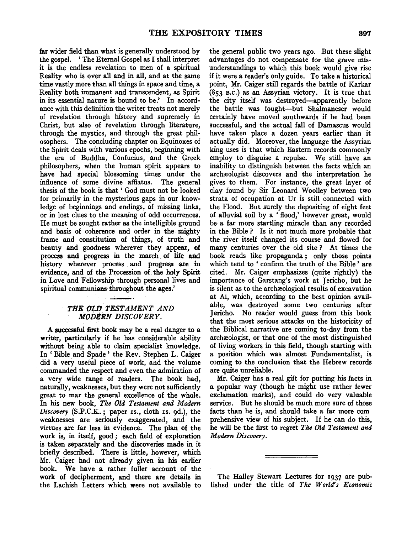far wider field than what is generally understood by the gospel. ' The Eternal Gospel as I shall interpret it is the endless revelation to men of a spiritual Reality who is over all and in all, and at the same time vastly more than all things in space and time, a Reality both immanent and transcendent, as Spirit in its essential nature is bound to be.' In accordance with this definition the writer treats not merely of revelation through history and supremely in Christ, but also of revelation through literature, through the mystics, and through the great philosophers. The concluding chapter on Equinoxes of the Spirit deals with various epochs, beginning with the era of Buddha, Confucius, and the Greek philosophers, when the human spirit appears to have had special blossoming times under the influence of some divine affiatus. The general thesis of the book is that ' God must not be looked for primarily in the mysterious gaps in our knowledge of beginnings and endings, of missing links, or in lost clues to the meaning of odd occurrences. He must be sought rather as the intelligible ground and basis of coherence and order in the mighty frame and constitution of things, of truth and beauty and goodness wherever they appear, of process and progress in the march of life and history wherever process and progress are in evidence, and of the Procession of the holy Spirit in Love and Fellowship through personal lives and spiritual communions throughout the ages.'

# *THE OLD TESTAMENT AND MODERN DISCOVERY.*

A successful first book may be a real danger to a writer, particularly if he has considerable ability without being able to claim specialist knowledge. In ' Bible and Spade ' the Rev. Stephen L. Caiger did a very useful piece of work, and the volume commanded the respect and even the admiration of a very wide range of readers. The book had, naturally, weaknesses, but they were not sufficiently great to mar the general excellence of the whole. In his new book, *The Old Testament and Modern Discovery* (S.P.C.K.; paper Is., cloth Is. 9d.), the weaknesses are seriously exaggerated, and the virtues are far less in evidence. The plan of the work is, in itself, good ; each field of exploration is taken separately and the discoveries made in it briefly described. There is little, however, which Mr. Caiger had not already given in his earlier book. We have a rather fuller account of the work of decipherment, and there are details in the Lachish Letters which were not available to

the general public two years ago. But these slight advantages do not compensate for the grave misunderstandings to which this book would give rise if it were a reader's only guide. To take a historical point, Mr. Caiger still regards the battle of Karkar (853 B.c.) as an Assyrian victory. It is true that the city itself was destroyed-apparently before the battle was fought-but Shalmaneser would certainly have moved southwards if he had been successful, and the actual fall of Damascus would have taken place a dozen years earlier than it actually did. Moreover, the language the Assyrian king uses is that which Eastern records commonly employ to disguise a repulse. We still have an inability to distinguish between the facts which an archæologist discovers and the interpretation he gives to them. For instance, the great layer of clay found by Sir Leonard Woolley between two strata of occupation at Ur is still connected with the Flood. But surely the depositing of eight feet of alluvial soil by a 'flood,' however great, would be a far more startling miracle than any recorded in the Bible ? Is it not much more probable that the river itself changed its course and flowed for many centuries over the old site ? At times the book reads like propaganda ; only those points which tend to ' confirm the truth of the Bible ' are cited. Mr. Caiger emphasizes (quite rightly) the importance of Garstang's work at Jericho, but he is silent as to the archæological results of excavation at Ai, which, according to the best opinion available, was destroyed some two centuries after Jericho. No reader would guess from this book that the most serious attacks on the historicity of the Biblical narrative are coming to-day from the archæologist, or that one of the most distinguished of living workers in this field, though starting with a position which was almost Fundamentalist, is coming to the conclusion that the Hebrew records are quite unreliable.

Mr. Caiger has a real gift for putting his facts in a popular way (though he might use rather fewer exclamation marks), and could do very valuable service. But he should be much more sure of those facts than he is, and should take a far more com prehensive view of his subject. If he can do this, he will be the first to regret *The Old Testament and Modern Discovery.* 

The Halley Stewart Lectures for I937 are published under the title of *The World's Economic*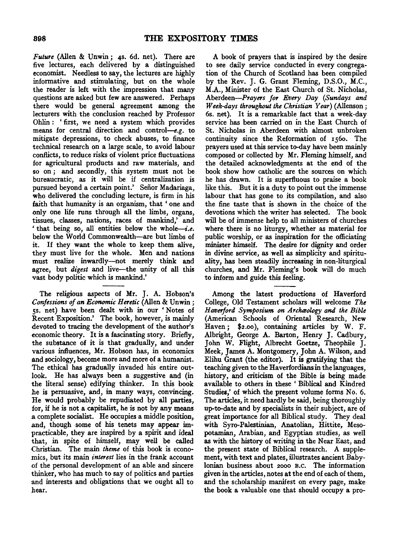*Future* (Alien & Unwin; 4s. 6d. net). There are five lectures, each delivered by a distinguished economist. Needless to say, the lectures are highly informative and stimulating, but on the whole the reader is left with the impression that many questions are asked but few are answered. Perhaps there would be general agreement among the lecturers with the conclusion reached by Professor Ohlin: 'first, we need a system which provides means for central direction and control-e.g. to mitigate depressions, to check abuses, to finance technical research on a large scale, to avoid labour conflicts, to reduce risks of violent price fluctuations for agricultural products and raw materials, and so on; and secondly, this system must not be bureaucratic, as it will be if centralization is pursued beyond a certain point.' Señor Madariaga, who delivered the concluding lecture, is firm in his faith that humanity is an organism, that ' one and only one life runs through all the limbs, organs, tissues, classes, nations, races of mankind,' and ' that being so, all entities below the whole-i.e. below the World Commonwealth-are but limbs of it. If they want the whole to keep them alive, they must live for the whole. Men and nations must realize inwardly-not merely think and agree, but *digest* and live-the unity of all this vast body politic which is mankind.'

The religious aspects of Mr. J. A. Hobson's *Confessions of an Economic Heretic* (Alien & Unwin ; ss. net) have been dealt with in our 'Notes of Recent Exposition.' The book, however, is mainly devoted to tracing the development of the author's economic theory. It is a fascinating story. Briefly, the substance of it is that gradually, and under various influences, Mr. Hobson has, in economics and sociology, become more and more of a humanist. The ethical has gradually invaded his entire outlook. He has always been a suggestive and (in the literal sense) edifying thinker. In this book he is persuasive, and, in many ways, convincing. He would probably be repudiated by all parties, for, if he is not a capitalist, he is not by any means a complete socialist. He occupies a middle position, and, though some of his tenets may appear impracticable, they are inspired by a spirit and ideal that, in spite of himself, may well be called Christian. The main *theme* of this book is economics, but its main *interest* lies in the frank account of the personal development of an able and sincere thinker, who has much to say of politics and parties and interests and obligations that we ought all to hear.

A book of prayers that is inspired by the desire to see daily service conducted in every congregation of the Church of Scotland has been compiled by the Rev. J. G. Grant Fleming, D.S.O., M.C., M.A., Minister of the East Church of St. Nicholas, Aberdeen-Prayers *for Every Day (Sundays and Week-days throughout the Christian Year)* (Allenson; 6s. net). It is a remarkable fact that a week-day service has been carried on in the East Church of St. Nicholas in Aberdeen with almost unbroken continuity since the Reformation of 156o. The prayers used at this service to-day have been mainly composed or collected by Mr. Fleming himself, and the detailed acknowledgments at the end of the book show how catholic are the sources on which he has drawn. It is superfluous to praise a book like this. But it is a duty to point out the immense labour that has gone to its compilation, and also the fine taste that is shown in the choice of the devotions which the writer has selected. The book will be of immense help to all ministers of churches where there is no liturgy, whether as material for public worship, or as inspiration for the officiating minister himself. The desire for dignity and order in divine service, as well as simplicity and spirituality, has been steadily increasing in non-liturgical churches, and Mr. Fleming's book will do much to inform and guide this feeling.

Among the latest productions of Haverford College, Old Testament scholars will welcome *The Haverford Symposium on Archaology and the Bible*  (American Schools of Oriental Research, New Haven; \$2.oo), containing articles by W. F. Albright, George A. Barton, Henry J. Cadbury, John W. Flight, Albrecht Goetze, Theophile J. Meek, James A. Montgomery, John A. Wilson, and Elihu Grant (the editor). It is gratifying that the teaching given to the Haverfordians in the languages, history, and criticism of the Bible is being made available to others in these 'Biblical and Kindred Studies,' of which the present volume forms No. 6. The articles, it need hardly be said, being thoroughly up-to-date and by specialists in their subject, are of great importance for all Biblical study. They deal with Syro-Palestinian, Anatolian, Hittite, Mesopotamian, Arabian, and Egyptian studies, as well as with the history of Wiiting in the Near East, and the present state of Biblical research. A supplement, with text and plates, illustrates ancient Babylonian business about 2ooo B.c. The information given in the articles, notes at the end of each of them, and the scholarship manifest on every page, make the book a valuable one that should occupy a pro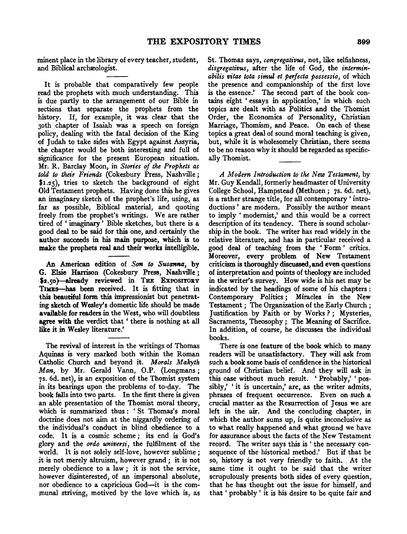minent place in the library of every teacher, student, and Biblical archæologist.

It is probable that comparatively few people read the prophets with much understanding. This is due partly to the arrangement of our Bible in sections that separate the prophets from the history. If, for example, it was clear .that the 3oth chapter of Isaiah was a speech on foreign policy, dealing with the fatal decision of the King of Judah to take sides with Egypt against Assyria, the chapter would be both interesting and full of significance for the present European situation. Mr. R. Barclay Moon, in *Stories of the Prophets as told to their Friends* (Cokesbury Press, Nashville; \$1.25), tries to sketch the background of eight Old Testament prophets. Having done this he gives an imaginary sketch of the prophet's life, using, as far as possible, Biblical material, and quoting freely from the prophet's writings. We are rather tired of ' imaginary' Bible sketches, but there is a good deal to be said for this one, and certainly the author succeeds in his main purpose, which is to make the prophets real and their works intelligible.

An American edition of Son *to Susanna,* by G. Elsie Harrison (Cokesbury Press, Nashville; \$2.50)-already reviewed in THE EXPOSITORY TIMEs-has been received. It is fitting that in this beautiful form this impressionist but penetrating sketch of Wesley's domestic life should be made available for readers in the West, who will doubtless agree with the verdict that ' there is nothing at all like it in Wesley literature.'

The revival of interest in the writings of Thomas Aquinas is very marked both within the Roman Catholic Church and beyond it. *Morals Makyth Man*, by Mr. Gerald Vann, O.P. (Longmans; 7s. 6d. net), is an exposition of the Thomist system in its bearings upon the problems of to-day. The book falls into two parts. In the first there is given an able presentation of the Thomist moral theory, which is summarized thus: 'St Thomas's moral doctrine does not aim at the niggardly ordering of the individual's conduct in blind obedience to a code. It is a cosmic scheme; its end is God's glory and the *ordo universi*, the fulfilment of the world. It is not solely self-love, however sublime : it is not merely altruism, however grand ; it is not merely obedience to a law; it is not the service, however disinterested, of an impersonal absolute, nor obedience to a capricious God--it is the communal striving, motived by the love which is, as St. Thomas says, *congregativus,* not, like selfishness, *disgregativus,* after the life of God, the *interminabilis vitae tota simul et perfecta possessio,* of which the presence and companionship of the first love is the essence.' The second part of the book contains eight ' essays in application,' in which such topics are dealt with as Politics and the Thomist Order, the Economics of Personality, Christian Marriage, Thomism, and Peace. On each of these topics a great deal of sound moral teaching is given, but, while it is wholesomely Christian, there seems to be no reason why it should be regarded as specifically Thomist.

*A Modern Introduction to the New Testament,* by Mr. Guy Kendall, formerly headmaster of University College School, Hampstead (Methuen; 7s. 6d. net), is a rather strange title, for all contemporary ' introductions ' are modem. Possibly the author meant to imply 'modernist,' and this would be a correct description of its tendency. There is sound scholarship in the book. The writer has read widely in the relative literature, and has in particular received a good deal of teaching from the ' Form ' critics. Moreover, every problem of New Testament criticism is thoroughly discussed, and even questions of interpretation and points of theology are included in the writer's survey. How wide is his net may be indicated by the headings of some of his chapters : Contemporary Politics ; Miracles in the New Testament ; The Organization of the Early Church ; Justification by Faith or by Works?; Mysteries, Sacraments, Theosophy; The Meaning of Sacrifice. In addition, of course, he discusses the individual books.

There is one feature of the book which to many readers will be unsatisfactory. They will ask from such a book some basis of confidence in the historical ground of Christian belief. And they will ask in this case without much result. ' Probably,' ' possibly,' 'it is uncertain,' are, as the writer admits, phrases of frequent occurrence. Even on such a crucial matter as the Resurrection of Jesus we are left in the air. And the concluding chapter, in which the author sums up, is quite inconclusive as to what really happened and what ground we have for assurance about the facts of the New Testament record. The writer says this is' the necessary consequence of the historical method.' But if that be so, history is not very friendly to faith. At the same time it ought to be said that the writer scrupulously presents both sides of every question, that he has thought out the issue for himself, and that ' probably ' it is his desire to be quite fair and